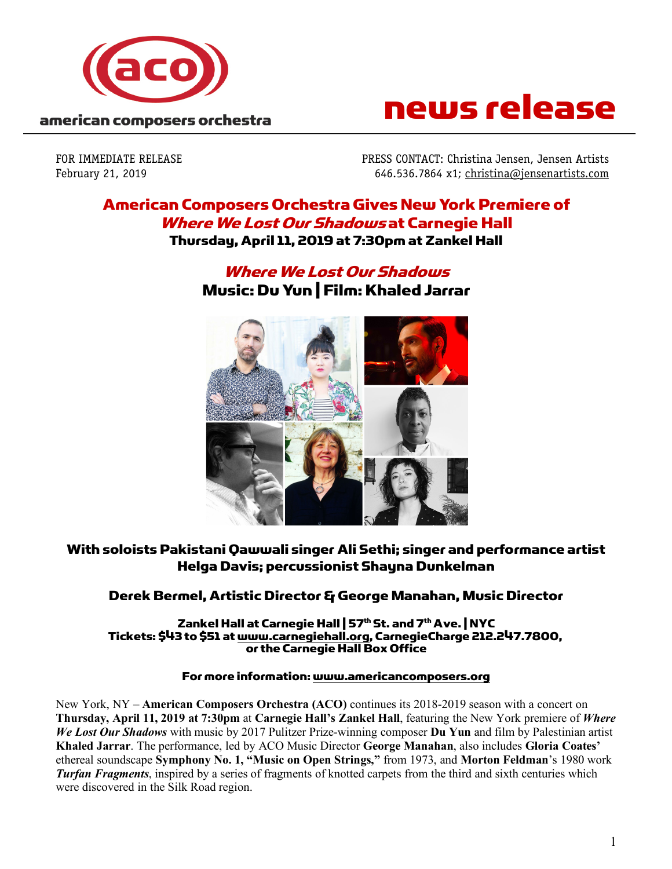



FOR IMMEDIATE RELEASE PRESS CONTACT: Christina Jensen, Jensen Artists February 21, 2019 646.536.7864 x1; christina@jensenartists.com

### American Composers OrchestraGives New York Premiere of Where We Lost Our Shadows at Carnegie Hall Thursday, April 11, 2019 at 7:30pm at Zankel Hall

### Where We Lost Our Shadows Music: Du Yun | Film: Khaled Jarrar



### With soloists Pakistani Qawwali singer Ali Sethi; singer and performance artist Helga Davis; percussionist Shayna Dunkelman

### Derek Bermel, Artistic Director & George Manahan, Music Director

Zankel Hall at Carnegie Hall | 57th St. and 7th Ave. | NYC Tickets: \$43 to \$51 at www.carnegiehall.org, CarnegieCharge 212.247.7800, or the Carnegie Hall Box Office

### For more information: www.americancomposers.org

New York, NY – **American Composers Orchestra (ACO)** continues its 2018-2019 season with a concert on **Thursday, April 11, 2019 at 7:30pm** at **Carnegie Hall's Zankel Hall**, featuring the New York premiere of *Where We Lost Our Shadows* with music by 2017 Pulitzer Prize-winning composer **Du Yun** and film by Palestinian artist **Khaled Jarrar**. The performance, led by ACO Music Director **George Manahan**, also includes **Gloria Coates'** ethereal soundscape **Symphony No. 1, "Music on Open Strings,"** from 1973, and **Morton Feldman**'s 1980 work *Turfan Fragments*, inspired by a series of fragments of knotted carpets from the third and sixth centuries which were discovered in the Silk Road region.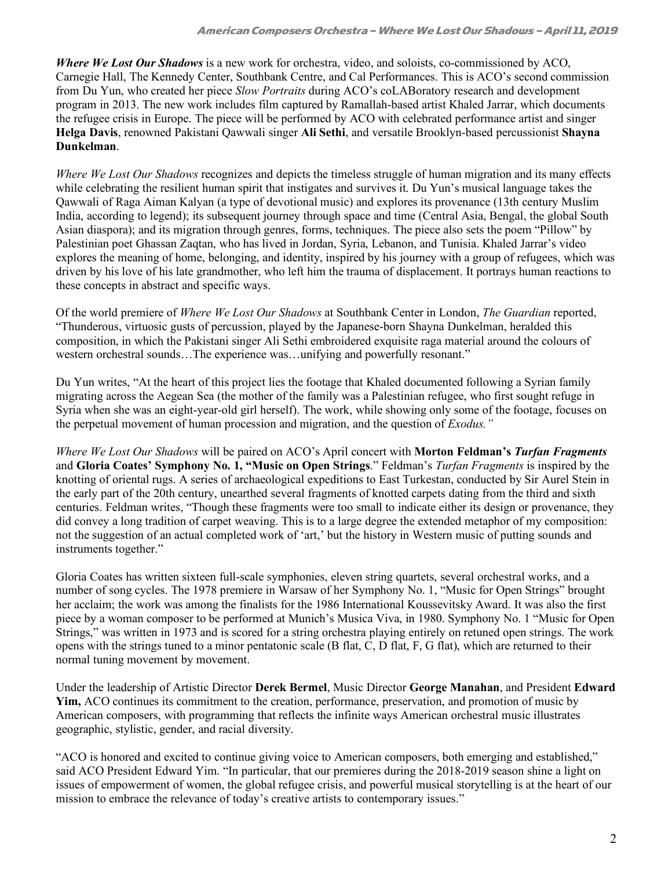*Where We Lost Our Shadows* is a new work for orchestra, video, and soloists, co-commissioned by ACO, Carnegie Hall, The Kennedy Center, Southbank Centre, and Cal Performances. This is ACO's second commission from Du Yun, who created her piece *Slow Portraits* during ACO's coLABoratory research and development program in 2013. The new work includes film captured by Ramallah-based artist Khaled Jarrar, which documents the refugee crisis in Europe. The piece will be performed by ACO with celebrated performance artist and singer **Helga Davis**, renowned Pakistani Qawwali singer **Ali Sethi**, and versatile Brooklyn-based percussionist **Shayna Dunkelman**.

*Where We Lost Our Shadows* recognizes and depicts the timeless struggle of human migration and its many effects while celebrating the resilient human spirit that instigates and survives it. Du Yun's musical language takes the Qawwali of Raga Aiman Kalyan (a type of devotional music) and explores its provenance (13th century Muslim India, according to legend); its subsequent journey through space and time (Central Asia, Bengal, the global South Asian diaspora); and its migration through genres, forms, techniques. The piece also sets the poem "Pillow" by Palestinian poet Ghassan Zaqtan, who has lived in Jordan, Syria, Lebanon, and Tunisia. Khaled Jarrar's video explores the meaning of home, belonging, and identity, inspired by his journey with a group of refugees, which was driven by his love of his late grandmother, who left him the trauma of displacement. It portrays human reactions to these concepts in abstract and specific ways.

Of the world premiere of *Where We Lost Our Shadows* at Southbank Center in London, *The Guardian* reported, "Thunderous, virtuosic gusts of percussion, played by the Japanese-born Shayna Dunkelman, heralded this composition, in which the Pakistani singer Ali Sethi embroidered exquisite raga material around the colours of western orchestral sounds...The experience was...unifying and powerfully resonant."

Du Yun writes, "At the heart of this project lies the footage that Khaled documented following a Syrian family migrating across the Aegean Sea (the mother of the family was a Palestinian refugee, who first sought refuge in Syria when she was an eight-year-old girl herself). The work, while showing only some of the footage, focuses on the perpetual movement of human procession and migration, and the question of *Exodus."*

*Where We Lost Our Shadows* will be paired on ACO's April concert with **Morton Feldman's** *Turfan Fragments* and **Gloria Coates' Symphony No. 1, "Music on Open Strings**." Feldman's *Turfan Fragments* is inspired by the knotting of oriental rugs. A series of archaeological expeditions to East Turkestan, conducted by Sir Aurel Stein in the early part of the 20th century, unearthed several fragments of knotted carpets dating from the third and sixth centuries. Feldman writes, "Though these fragments were too small to indicate either its design or provenance, they did convey a long tradition of carpet weaving. This is to a large degree the extended metaphor of my composition: not the suggestion of an actual completed work of 'art,' but the history in Western music of putting sounds and instruments together."

Gloria Coates has written sixteen full-scale symphonies, eleven string quartets, several orchestral works, and a number of song cycles. The 1978 premiere in Warsaw of her Symphony No. 1, "Music for Open Strings" brought her acclaim; the work was among the finalists for the 1986 International Koussevitsky Award. It was also the first piece by a woman composer to be performed at Munich's Musica Viva, in 1980. Symphony No. 1 "Music for Open Strings," was written in 1973 and is scored for a string orchestra playing entirely on retuned open strings. The work opens with the strings tuned to a minor pentatonic scale (B flat, C, D flat, F, G flat), which are returned to their normal tuning movement by movement.

Under the leadership of Artistic Director **Derek Bermel**, Music Director **George Manahan**, and President **Edward Yim,** ACO continues its commitment to the creation, performance, preservation, and promotion of music by American composers, with programming that reflects the infinite ways American orchestral music illustrates geographic, stylistic, gender, and racial diversity.

"ACO is honored and excited to continue giving voice to American composers, both emerging and established," said ACO President Edward Yim. "In particular, that our premieres during the 2018-2019 season shine a light on issues of empowerment of women, the global refugee crisis, and powerful musical storytelling is at the heart of our mission to embrace the relevance of today's creative artists to contemporary issues."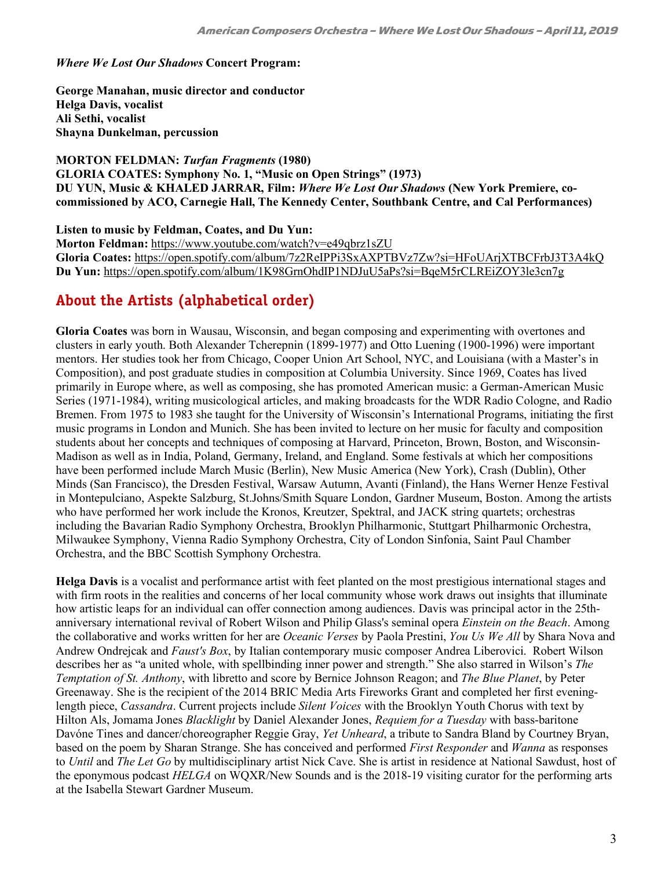*Where We Lost Our Shadows* **Concert Program:**

**George Manahan, music director and conductor Helga Davis, vocalist Ali Sethi, vocalist Shayna Dunkelman, percussion**

**MORTON FELDMAN:** *Turfan Fragments* **(1980) GLORIA COATES: Symphony No. 1, "Music on Open Strings" (1973) DU YUN, Music & KHALED JARRAR, Film:** *Where We Lost Our Shadows* **(New York Premiere, cocommissioned by ACO, Carnegie Hall, The Kennedy Center, Southbank Centre, and Cal Performances)**

**Listen to music by Feldman, Coates, and Du Yun: Morton Feldman:** https://www.youtube.com/watch?v=e49qbrz1sZU **Gloria Coates:** https://open.spotify.com/album/7z2ReIPPi3SxAXPTBVz7Zw?si=HFoUArjXTBCFrbJ3T3A4kQ **Du Yun:** https://open.spotify.com/album/1K98GrnOhdIP1NDJuU5aPs?si=BqeM5rCLREiZOY3le3cn7g

# **About the Artists (alphabetical order)**

**Gloria Coates** was born in Wausau, Wisconsin, and began composing and experimenting with overtones and clusters in early youth. Both Alexander Tcherepnin (1899-1977) and Otto Luening (1900-1996) were important mentors. Her studies took her from Chicago, Cooper Union Art School, NYC, and Louisiana (with a Master's in Composition), and post graduate studies in composition at Columbia University. Since 1969, Coates has lived primarily in Europe where, as well as composing, she has promoted American music: a German-American Music Series (1971-1984), writing musicological articles, and making broadcasts for the WDR Radio Cologne, and Radio Bremen. From 1975 to 1983 she taught for the University of Wisconsin's International Programs, initiating the first music programs in London and Munich. She has been invited to lecture on her music for faculty and composition students about her concepts and techniques of composing at Harvard, Princeton, Brown, Boston, and Wisconsin-Madison as well as in India, Poland, Germany, Ireland, and England. Some festivals at which her compositions have been performed include March Music (Berlin), New Music America (New York), Crash (Dublin), Other Minds (San Francisco), the Dresden Festival, Warsaw Autumn, Avanti (Finland), the Hans Werner Henze Festival in Montepulciano, Aspekte Salzburg, St.Johns/Smith Square London, Gardner Museum, Boston. Among the artists who have performed her work include the Kronos, Kreutzer, Spektral, and JACK string quartets; orchestras including the Bavarian Radio Symphony Orchestra, Brooklyn Philharmonic, Stuttgart Philharmonic Orchestra, Milwaukee Symphony, Vienna Radio Symphony Orchestra, City of London Sinfonia, Saint Paul Chamber Orchestra, and the BBC Scottish Symphony Orchestra.

**Helga Davis** is a vocalist and performance artist with feet planted on the most prestigious international stages and with firm roots in the realities and concerns of her local community whose work draws out insights that illuminate how artistic leaps for an individual can offer connection among audiences. Davis was principal actor in the 25thanniversary international revival of Robert Wilson and Philip Glass's seminal opera *Einstein on the Beach*. Among the collaborative and works written for her are *Oceanic Verses* by Paola Prestini, *You Us We All* by Shara Nova and Andrew Ondrejcak and *Faust's Box*, by Italian contemporary music composer Andrea Liberovici. Robert Wilson describes her as "a united whole, with spellbinding inner power and strength." She also starred in Wilson's *The Temptation of St. Anthony*, with libretto and score by Bernice Johnson Reagon; and *The Blue Planet*, by Peter Greenaway. She is the recipient of the 2014 BRIC Media Arts Fireworks Grant and completed her first eveninglength piece, *Cassandra*. Current projects include *Silent Voices* with the Brooklyn Youth Chorus with text by Hilton Als, Jomama Jones *Blacklight* by Daniel Alexander Jones, *Requiem for a Tuesday* with bass-baritone Davóne Tines and dancer/choreographer Reggie Gray, *Yet Unheard*, a tribute to Sandra Bland by Courtney Bryan, based on the poem by Sharan Strange. She has conceived and performed *First Responder* and *Wanna* as responses to *Until* and *The Let Go* by multidisciplinary artist Nick Cave. She is artist in residence at National Sawdust, host of the eponymous podcast *HELGA* on WQXR/New Sounds and is the 2018-19 visiting curator for the performing arts at the Isabella Stewart Gardner Museum.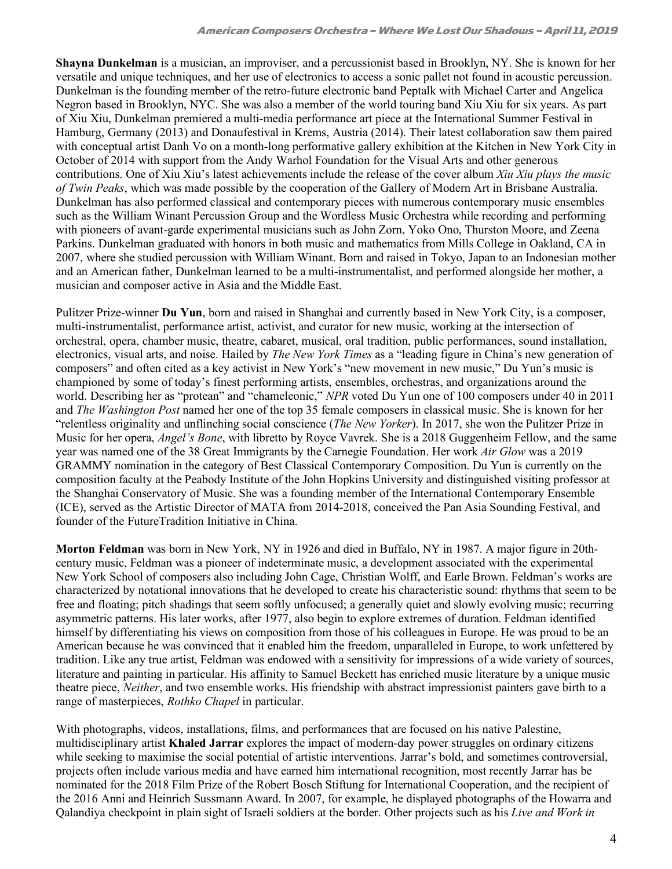**Shayna Dunkelman** is a musician, an improviser, and a percussionist based in Brooklyn, NY. She is known for her versatile and unique techniques, and her use of electronics to access a sonic pallet not found in acoustic percussion. Dunkelman is the founding member of the retro-future electronic band Peptalk with Michael Carter and Angelica Negron based in Brooklyn, NYC. She was also a member of the world touring band Xiu Xiu for six years. As part of Xiu Xiu, Dunkelman premiered a multi-media performance art piece at the International Summer Festival in Hamburg, Germany (2013) and Donaufestival in Krems, Austria (2014). Their latest collaboration saw them paired with conceptual artist Danh Vo on a month-long performative gallery exhibition at the Kitchen in New York City in October of 2014 with support from the Andy Warhol Foundation for the Visual Arts and other generous contributions. One of Xiu Xiu's latest achievements include the release of the cover album *Xiu Xiu plays the music of Twin Peaks*, which was made possible by the cooperation of the Gallery of Modern Art in Brisbane Australia. Dunkelman has also performed classical and contemporary pieces with numerous contemporary music ensembles such as the William Winant Percussion Group and the Wordless Music Orchestra while recording and performing with pioneers of avant-garde experimental musicians such as John Zorn, Yoko Ono, Thurston Moore, and Zeena Parkins. Dunkelman graduated with honors in both music and mathematics from Mills College in Oakland, CA in 2007, where she studied percussion with William Winant. Born and raised in Tokyo, Japan to an Indonesian mother and an American father, Dunkelman learned to be a multi-instrumentalist, and performed alongside her mother, a musician and composer active in Asia and the Middle East.

Pulitzer Prize-winner **Du Yun**, born and raised in Shanghai and currently based in New York City, is a composer, multi-instrumentalist, performance artist, activist, and curator for new music, working at the intersection of orchestral, opera, chamber music, theatre, cabaret, musical, oral tradition, public performances, sound installation, electronics, visual arts, and noise. Hailed by *The New York Times* as a "leading figure in China's new generation of composers" and often cited as a key activist in New York's "new movement in new music," Du Yun's music is championed by some of today's finest performing artists, ensembles, orchestras, and organizations around the world. Describing her as "protean" and "chameleonic," *NPR* voted Du Yun one of 100 composers under 40 in 2011 and *The Washington Post* named her one of the top 35 female composers in classical music. She is known for her "relentless originality and unflinching social conscience (*The New Yorker*). In 2017, she won the Pulitzer Prize in Music for her opera, *Angel's Bone*, with libretto by Royce Vavrek. She is a 2018 Guggenheim Fellow, and the same year was named one of the 38 Great Immigrants by the Carnegie Foundation. Her work *Air Glow* was a 2019 GRAMMY nomination in the category of Best Classical Contemporary Composition. Du Yun is currently on the composition faculty at the Peabody Institute of the John Hopkins University and distinguished visiting professor at the Shanghai Conservatory of Music. She was a founding member of the International Contemporary Ensemble (ICE), served as the Artistic Director of MATA from 2014-2018, conceived the Pan Asia Sounding Festival, and founder of the FutureTradition Initiative in China.

**Morton Feldman** was born in New York, NY in 1926 and died in Buffalo, NY in 1987. A major figure in 20thcentury music, Feldman was a pioneer of indeterminate music, a development associated with the experimental New York School of composers also including John Cage, Christian Wolff, and Earle Brown. Feldman's works are characterized by notational innovations that he developed to create his characteristic sound: rhythms that seem to be free and floating; pitch shadings that seem softly unfocused; a generally quiet and slowly evolving music; recurring asymmetric patterns. His later works, after 1977, also begin to explore extremes of duration. Feldman identified himself by differentiating his views on composition from those of his colleagues in Europe. He was proud to be an American because he was convinced that it enabled him the freedom, unparalleled in Europe, to work unfettered by tradition. Like any true artist, Feldman was endowed with a sensitivity for impressions of a wide variety of sources, literature and painting in particular. His affinity to Samuel Beckett has enriched music literature by a unique music theatre piece, *Neither*, and two ensemble works. His friendship with abstract impressionist painters gave birth to a range of masterpieces, *Rothko Chapel* in particular.

With photographs, videos, installations, films, and performances that are focused on his native Palestine, multidisciplinary artist **Khaled Jarrar** explores the impact of modern-day power struggles on ordinary citizens while seeking to maximise the social potential of artistic interventions. Jarrar's bold, and sometimes controversial, projects often include various media and have earned him international recognition, most recently Jarrar has be nominated for the 2018 Film Prize of the Robert Bosch Stiftung for International Cooperation, and the recipient of the 2016 Anni and Heinrich Sussmann Award. In 2007, for example, he displayed photographs of the Howarra and Qalandiya checkpoint in plain sight of Israeli soldiers at the border. Other projects such as his *Live and Work in*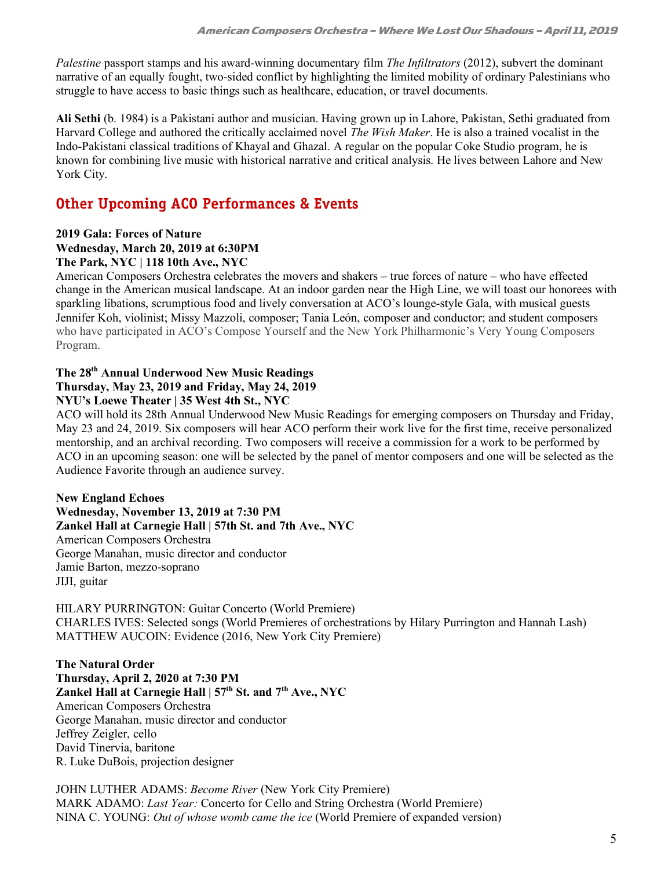*Palestine* passport stamps and his award-winning documentary film *The Infiltrators* (2012), subvert the dominant narrative of an equally fought, two-sided conflict by highlighting the limited mobility of ordinary Palestinians who struggle to have access to basic things such as healthcare, education, or travel documents.

**Ali Sethi** (b. 1984) is a Pakistani author and musician. Having grown up in Lahore, Pakistan, Sethi graduated from Harvard College and authored the critically acclaimed novel *The Wish Maker*. He is also a trained vocalist in the Indo-Pakistani classical traditions of Khayal and Ghazal. A regular on the popular Coke Studio program, he is known for combining live music with historical narrative and critical analysis. He lives between Lahore and New York City.

## **Other Upcoming ACO Performances & Events**

#### **2019 Gala: Forces of Nature Wednesday, March 20, 2019 at 6:30PM The Park, NYC | 118 10th Ave., NYC**

American Composers Orchestra celebrates the movers and shakers – true forces of nature – who have effected change in the American musical landscape. At an indoor garden near the High Line, we will toast our honorees with sparkling libations, scrumptious food and lively conversation at ACO's lounge-style Gala, with musical guests Jennifer Koh, violinist; Missy Mazzoli, composer; Tania León, composer and conductor; and student composers who have participated in ACO's Compose Yourself and the New York Philharmonic's Very Young Composers Program.

#### **The 28th Annual Underwood New Music Readings Thursday, May 23, 2019 and Friday, May 24, 2019 NYU's Loewe Theater | 35 West 4th St., NYC**

ACO will hold its 28th Annual Underwood New Music Readings for emerging composers on Thursday and Friday, May 23 and 24, 2019. Six composers will hear ACO perform their work live for the first time, receive personalized mentorship, and an archival recording. Two composers will receive a commission for a work to be performed by ACO in an upcoming season: one will be selected by the panel of mentor composers and one will be selected as the Audience Favorite through an audience survey.

**New England Echoes Wednesday, November 13, 2019 at 7:30 PM Zankel Hall at Carnegie Hall | 57th St. and 7th Ave., NYC** American Composers Orchestra George Manahan, music director and conductor Jamie Barton, mezzo-soprano JIJI, guitar

HILARY PURRINGTON: Guitar Concerto (World Premiere) CHARLES IVES: Selected songs (World Premieres of orchestrations by Hilary Purrington and Hannah Lash) MATTHEW AUCOIN: Evidence (2016, New York City Premiere)

**The Natural Order Thursday, April 2, 2020 at 7:30 PM Zankel Hall at Carnegie Hall | 57th St. and 7th Ave., NYC** American Composers Orchestra George Manahan, music director and conductor Jeffrey Zeigler, cello David Tinervia, baritone R. Luke DuBois, projection designer

JOHN LUTHER ADAMS: *Become River* (New York City Premiere) MARK ADAMO: *Last Year:* Concerto for Cello and String Orchestra (World Premiere) NINA C. YOUNG: *Out of whose womb came the ice* (World Premiere of expanded version)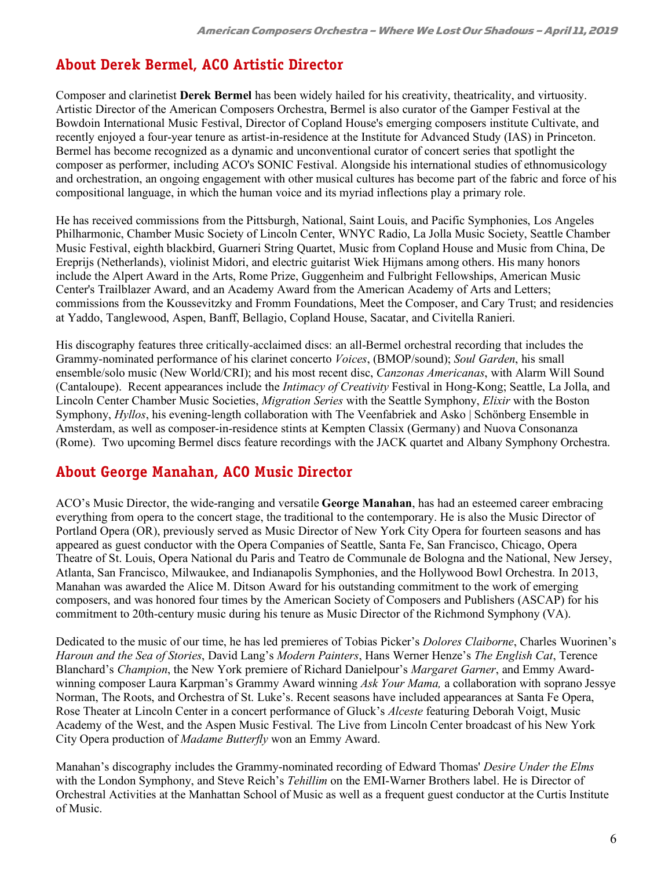## **About Derek Bermel, ACO Artistic Director**

Composer and clarinetist **Derek Bermel** has been widely hailed for his creativity, theatricality, and virtuosity. Artistic Director of the American Composers Orchestra, Bermel is also curator of the Gamper Festival at the Bowdoin International Music Festival, Director of Copland House's emerging composers institute Cultivate, and recently enjoyed a four-year tenure as artist-in-residence at the Institute for Advanced Study (IAS) in Princeton. Bermel has become recognized as a dynamic and unconventional curator of concert series that spotlight the composer as performer, including ACO's SONIC Festival. Alongside his international studies of ethnomusicology and orchestration, an ongoing engagement with other musical cultures has become part of the fabric and force of his compositional language, in which the human voice and its myriad inflections play a primary role.

He has received commissions from the Pittsburgh, National, Saint Louis, and Pacific Symphonies, Los Angeles Philharmonic, Chamber Music Society of Lincoln Center, WNYC Radio, La Jolla Music Society, Seattle Chamber Music Festival, eighth blackbird, Guarneri String Quartet, Music from Copland House and Music from China, De Ereprijs (Netherlands), violinist Midori, and electric guitarist Wiek Hijmans among others. His many honors include the Alpert Award in the Arts, Rome Prize, Guggenheim and Fulbright Fellowships, American Music Center's Trailblazer Award, and an Academy Award from the American Academy of Arts and Letters; commissions from the Koussevitzky and Fromm Foundations, Meet the Composer, and Cary Trust; and residencies at Yaddo, Tanglewood, Aspen, Banff, Bellagio, Copland House, Sacatar, and Civitella Ranieri.

His discography features three critically-acclaimed discs: an all-Bermel orchestral recording that includes the Grammy-nominated performance of his clarinet concerto *Voices*, (BMOP/sound); *Soul Garden*, his small ensemble/solo music (New World/CRI); and his most recent disc, *Canzonas Americanas*, with Alarm Will Sound (Cantaloupe). Recent appearances include the *Intimacy of Creativity* Festival in Hong-Kong; Seattle, La Jolla, and Lincoln Center Chamber Music Societies, *Migration Series* with the Seattle Symphony, *Elixir* with the Boston Symphony, *Hyllos*, his evening-length collaboration with The Veenfabriek and Asko | Schönberg Ensemble in Amsterdam, as well as composer-in-residence stints at Kempten Classix (Germany) and Nuova Consonanza (Rome). Two upcoming Bermel discs feature recordings with the JACK quartet and Albany Symphony Orchestra.

### **About George Manahan, ACO Music Director**

ACO's Music Director, the wide-ranging and versatile **George Manahan**, has had an esteemed career embracing everything from opera to the concert stage, the traditional to the contemporary. He is also the Music Director of Portland Opera (OR), previously served as Music Director of New York City Opera for fourteen seasons and has appeared as guest conductor with the Opera Companies of Seattle, Santa Fe, San Francisco, Chicago, Opera Theatre of St. Louis, Opera National du Paris and Teatro de Communale de Bologna and the National, New Jersey, Atlanta, San Francisco, Milwaukee, and Indianapolis Symphonies, and the Hollywood Bowl Orchestra. In 2013, Manahan was awarded the Alice M. Ditson Award for his outstanding commitment to the work of emerging composers, and was honored four times by the American Society of Composers and Publishers (ASCAP) for his commitment to 20th-century music during his tenure as Music Director of the Richmond Symphony (VA).

Dedicated to the music of our time, he has led premieres of Tobias Picker's *Dolores Claiborne*, Charles Wuorinen's *Haroun and the Sea of Stories*, David Lang's *Modern Painters*, Hans Werner Henze's *The English Cat*, Terence Blanchard's *Champion*, the New York premiere of Richard Danielpour's *Margaret Garner*, and Emmy Awardwinning composer Laura Karpman's Grammy Award winning *Ask Your Mama,* a collaboration with soprano Jessye Norman, The Roots, and Orchestra of St. Luke's. Recent seasons have included appearances at Santa Fe Opera, Rose Theater at Lincoln Center in a concert performance of Gluck's *Alceste* featuring Deborah Voigt, Music Academy of the West, and the Aspen Music Festival. The Live from Lincoln Center broadcast of his New York City Opera production of *Madame Butterfly* won an Emmy Award.

Manahan's discography includes the Grammy-nominated recording of Edward Thomas' *Desire Under the Elms* with the London Symphony, and Steve Reich's *Tehillim* on the EMI-Warner Brothers label. He is Director of Orchestral Activities at the Manhattan School of Music as well as a frequent guest conductor at the Curtis Institute of Music.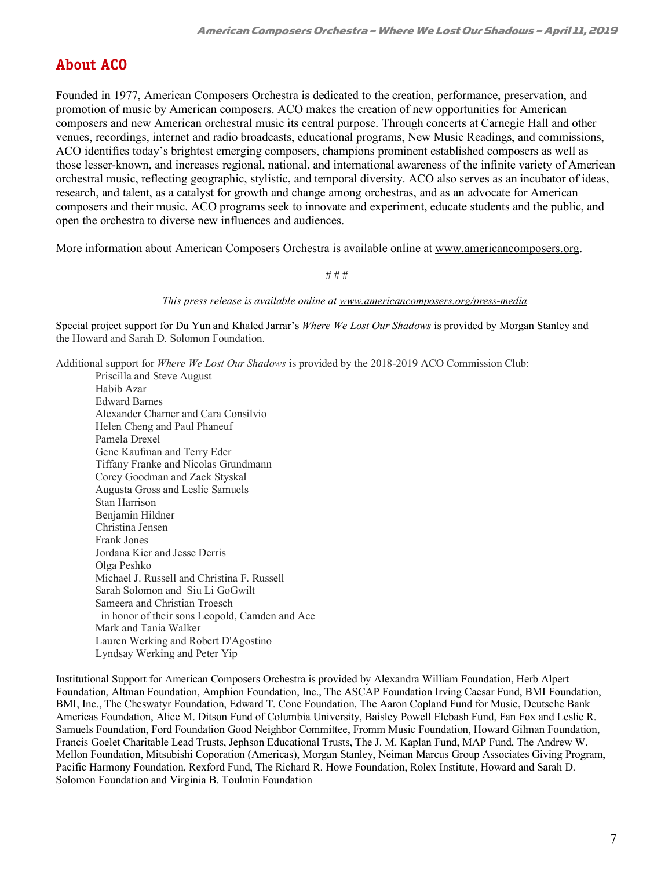# **About ACO**

Founded in 1977, American Composers Orchestra is dedicated to the creation, performance, preservation, and promotion of music by American composers. ACO makes the creation of new opportunities for American composers and new American orchestral music its central purpose. Through concerts at Carnegie Hall and other venues, recordings, internet and radio broadcasts, educational programs, New Music Readings, and commissions, ACO identifies today's brightest emerging composers, champions prominent established composers as well as those lesser-known, and increases regional, national, and international awareness of the infinite variety of American orchestral music, reflecting geographic, stylistic, and temporal diversity. ACO also serves as an incubator of ideas, research, and talent, as a catalyst for growth and change among orchestras, and as an advocate for American composers and their music. ACO programs seek to innovate and experiment, educate students and the public, and open the orchestra to diverse new influences and audiences.

More information about American Composers Orchestra is available online at www.americancomposers.org.

*# # #*

*This press release is available online at www.americancomposers.org/press-media*

Special project support for Du Yun and Khaled Jarrar's *Where We Lost Our Shadows* is provided by Morgan Stanley and the Howard and Sarah D. Solomon Foundation.

Additional support for *Where We Lost Our Shadows* is provided by the 2018-2019 ACO Commission Club:

Priscilla and Steve August Habib Azar Edward Barnes Alexander Charner and Cara Consilvio Helen Cheng and Paul Phaneuf Pamela Drexel Gene Kaufman and Terry Eder Tiffany Franke and Nicolas Grundmann Corey Goodman and Zack Styskal Augusta Gross and Leslie Samuels Stan Harrison Benjamin Hildner Christina Jensen Frank Jones Jordana Kier and Jesse Derris Olga Peshko Michael J. Russell and Christina F. Russell Sarah Solomon and Siu Li GoGwilt Sameera and Christian Troesch in honor of their sons Leopold, Camden and Ace Mark and Tania Walker Lauren Werking and Robert D'Agostino Lyndsay Werking and Peter Yip

Institutional Support for American Composers Orchestra is provided by Alexandra William Foundation, Herb Alpert Foundation, Altman Foundation, Amphion Foundation, Inc., The ASCAP Foundation Irving Caesar Fund, BMI Foundation, BMI, Inc., The Cheswatyr Foundation, Edward T. Cone Foundation, The Aaron Copland Fund for Music, Deutsche Bank Americas Foundation, Alice M. Ditson Fund of Columbia University, Baisley Powell Elebash Fund, Fan Fox and Leslie R. Samuels Foundation, Ford Foundation Good Neighbor Committee, Fromm Music Foundation, Howard Gilman Foundation, Francis Goelet Charitable Lead Trusts, Jephson Educational Trusts, The J. M. Kaplan Fund, MAP Fund, The Andrew W. Mellon Foundation, Mitsubishi Coporation (Americas), Morgan Stanley, Neiman Marcus Group Associates Giving Program, Pacific Harmony Foundation, Rexford Fund, The Richard R. Howe Foundation, Rolex Institute, Howard and Sarah D. Solomon Foundation and Virginia B. Toulmin Foundation